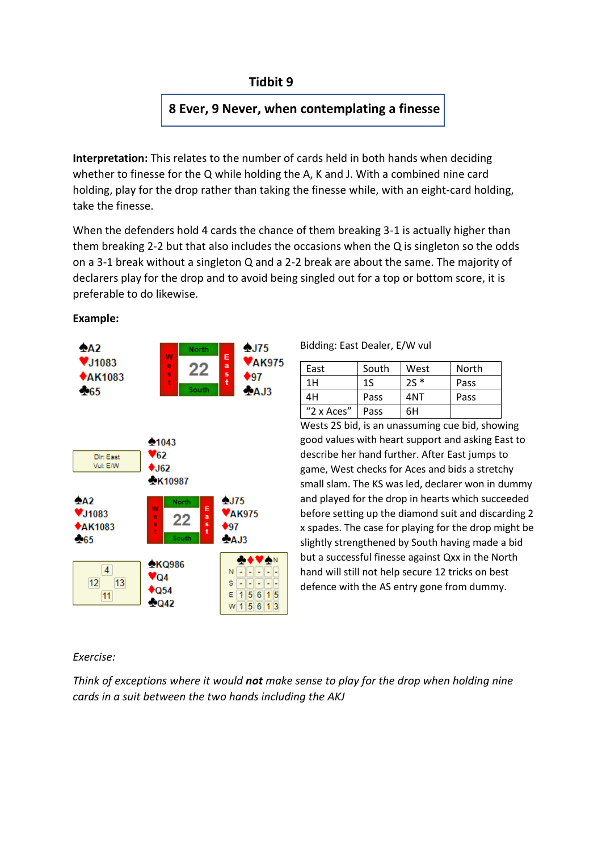## **Tidbit 9**

# **8 Ever, 9 Never, when contemplating a finesse**

**Interpretation:** This relates to the number of cards held in both hands when deciding whether to finesse for the Q while holding the A, K and J. With a combined nine card holding, play for the drop rather than taking the finesse while, with an eight-card holding, take the finesse.

When the defenders hold 4 cards the chance of them breaking 3-1 is actually higher than them breaking 2-2 but that also includes the occasions when the Q is singleton so the odds on a 3-1 break without a singleton Q and a 2-2 break are about the same. The majority of declarers play for the drop and to avoid being singled out for a top or bottom score, it is preferable to do likewise.



### **Example:**

#### Bidding: East Dealer, E/W vul

| East       | South | West  | North |
|------------|-------|-------|-------|
| 1H         | 1S    | $25*$ | Pass  |
| 4Н         | Pass  | 4NT   | Pass  |
| "2 x Aces" | Pass  | 6Н    |       |

Wests 2S bid, is an unassuming cue bid, showing good values with heart support and asking East to describe her hand further. After East jumps to game, West checks for Aces and bids a stretchy small slam. The KS was led, declarer won in dummy and played for the drop in hearts which succeeded before setting up the diamond suit and discarding 2 x spades. The case for playing for the drop might be slightly strengthened by South having made a bid but a successful finesse against Qxx in the North hand will still not help secure 12 tricks on best defence with the AS entry gone from dummy.

## *Exercise:*

*Think of exceptions where it would not make sense to play for the drop when holding nine cards in a suit between the two hands including the AKJ*